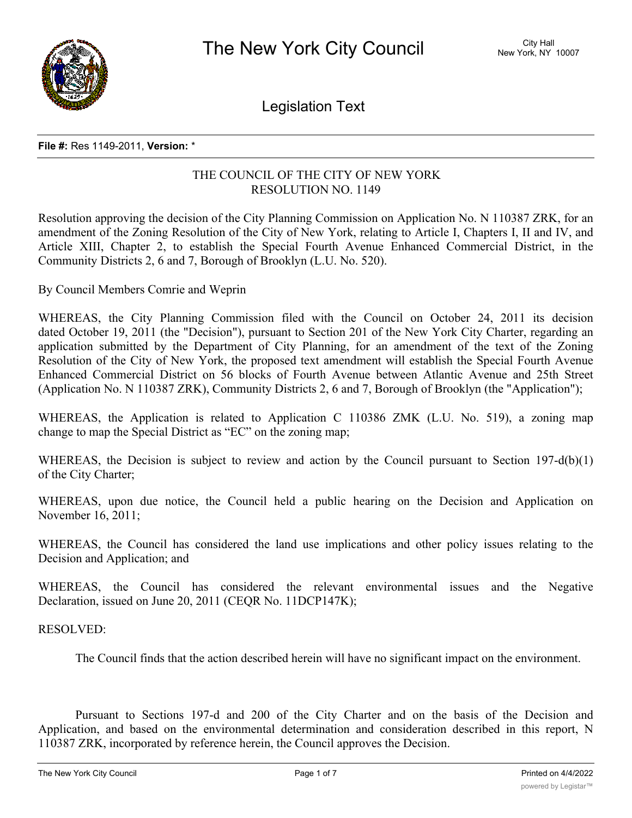

Legislation Text

#### **File #:** Res 1149-2011, **Version:** \*

### THE COUNCIL OF THE CITY OF NEW YORK RESOLUTION NO. 1149

Resolution approving the decision of the City Planning Commission on Application No. N 110387 ZRK, for an amendment of the Zoning Resolution of the City of New York, relating to Article I, Chapters I, II and IV, and Article XIII, Chapter 2, to establish the Special Fourth Avenue Enhanced Commercial District, in the Community Districts 2, 6 and 7, Borough of Brooklyn (L.U. No. 520).

By Council Members Comrie and Weprin

WHEREAS, the City Planning Commission filed with the Council on October 24, 2011 its decision dated October 19, 2011 (the "Decision"), pursuant to Section 201 of the New York City Charter, regarding an application submitted by the Department of City Planning, for an amendment of the text of the Zoning Resolution of the City of New York, the proposed text amendment will establish the Special Fourth Avenue Enhanced Commercial District on 56 blocks of Fourth Avenue between Atlantic Avenue and 25th Street (Application No. N 110387 ZRK), Community Districts 2, 6 and 7, Borough of Brooklyn (the "Application");

WHEREAS, the Application is related to Application C 110386 ZMK (L.U. No. 519), a zoning map change to map the Special District as "EC" on the zoning map;

WHEREAS, the Decision is subject to review and action by the Council pursuant to Section 197-d(b)(1) of the City Charter;

WHEREAS, upon due notice, the Council held a public hearing on the Decision and Application on November 16, 2011;

WHEREAS, the Council has considered the land use implications and other policy issues relating to the Decision and Application; and

WHEREAS, the Council has considered the relevant environmental issues and the Negative Declaration, issued on June 20, 2011 (CEQR No. 11DCP147K);

### RESOLVED:

The Council finds that the action described herein will have no significant impact on the environment.

Pursuant to Sections 197-d and 200 of the City Charter and on the basis of the Decision and Application, and based on the environmental determination and consideration described in this report, N 110387 ZRK, incorporated by reference herein, the Council approves the Decision.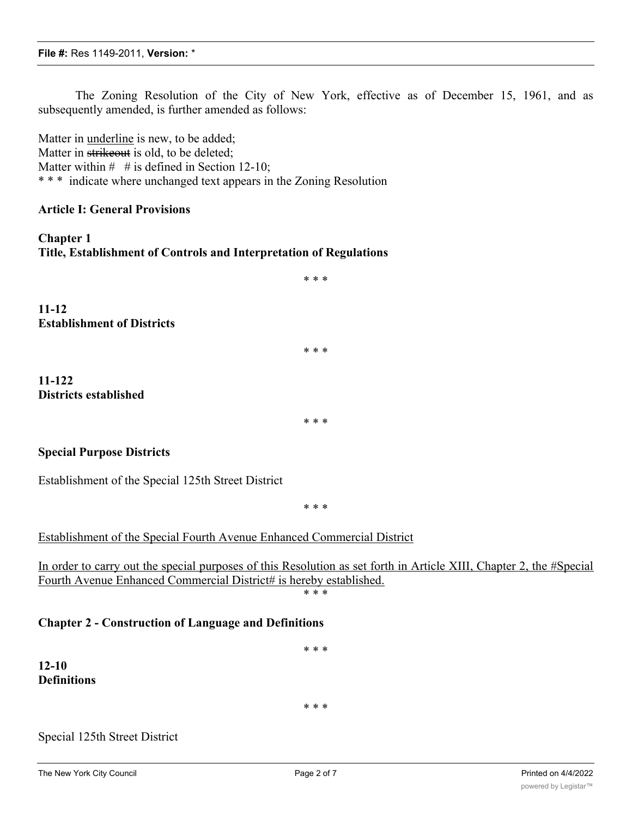The Zoning Resolution of the City of New York, effective as of December 15, 1961, and as subsequently amended, is further amended as follows:

Matter in underline is new, to be added; Matter in strikeout is old, to be deleted; Matter within  $#$  # is defined in Section 12-10; \* \* \* indicate where unchanged text appears in the Zoning Resolution

### **Article I: General Provisions**

**Chapter 1 Title, Establishment of Controls and Interpretation of Regulations**

**11-12 Establishment of Districts**

**11-122 Districts established**

\* \* \*

\* \* \*

\* \* \*

### **Special Purpose Districts**

Establishment of the Special 125th Street District

\* \* \*

Establishment of the Special Fourth Avenue Enhanced Commercial District

In order to carry out the special purposes of this Resolution as set forth in Article XIII, Chapter 2, the #Special Fourth Avenue Enhanced Commercial District# is hereby established.

\* \* \*

\* \* \*

### **Chapter 2 - Construction of Language and Definitions**

**12-10 Definitions**

\* \* \*

### Special 125th Street District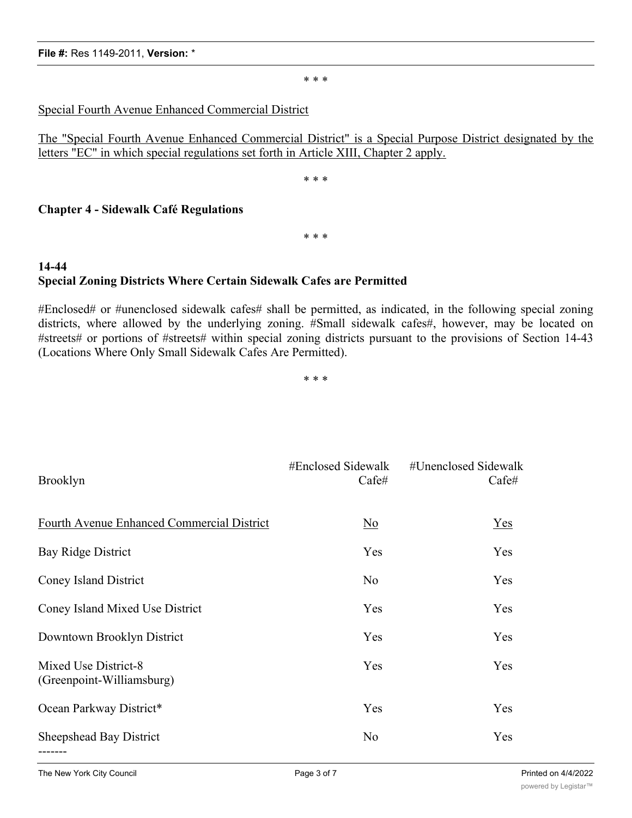#### **File #:** Res 1149-2011, **Version:** \*

\* \* \*

### Special Fourth Avenue Enhanced Commercial District

The "Special Fourth Avenue Enhanced Commercial District" is a Special Purpose District designated by the letters "EC" in which special regulations set forth in Article XIII, Chapter 2 apply.

\* \* \*

### **Chapter 4 - Sidewalk Café Regulations**

\* \* \*

# **14-44 Special Zoning Districts Where Certain Sidewalk Cafes are Permitted**

#Enclosed# or #unenclosed sidewalk cafes# shall be permitted, as indicated, in the following special zoning districts, where allowed by the underlying zoning. #Small sidewalk cafes#, however, may be located on #streets# or portions of #streets# within special zoning districts pursuant to the provisions of Section 14-43 (Locations Where Only Small Sidewalk Cafes Are Permitted).

\* \* \*

| <b>Brooklyn</b>                                   | #Enclosed Sidewalk<br>Cafe# | #Unenclosed Sidewalk<br>Cafe# |
|---------------------------------------------------|-----------------------------|-------------------------------|
| <b>Fourth Avenue Enhanced Commercial District</b> | $\overline{\text{No}}$      | Yes                           |
| Bay Ridge District                                | Yes                         | Yes                           |
| <b>Coney Island District</b>                      | N <sub>o</sub>              | Yes                           |
| Coney Island Mixed Use District                   | Yes                         | Yes                           |
| Downtown Brooklyn District                        | Yes                         | Yes                           |
| Mixed Use District-8<br>(Greenpoint-Williamsburg) | Yes                         | Yes                           |
| Ocean Parkway District*                           | Yes                         | Yes                           |
| Sheepshead Bay District<br>-------                | No                          | Yes                           |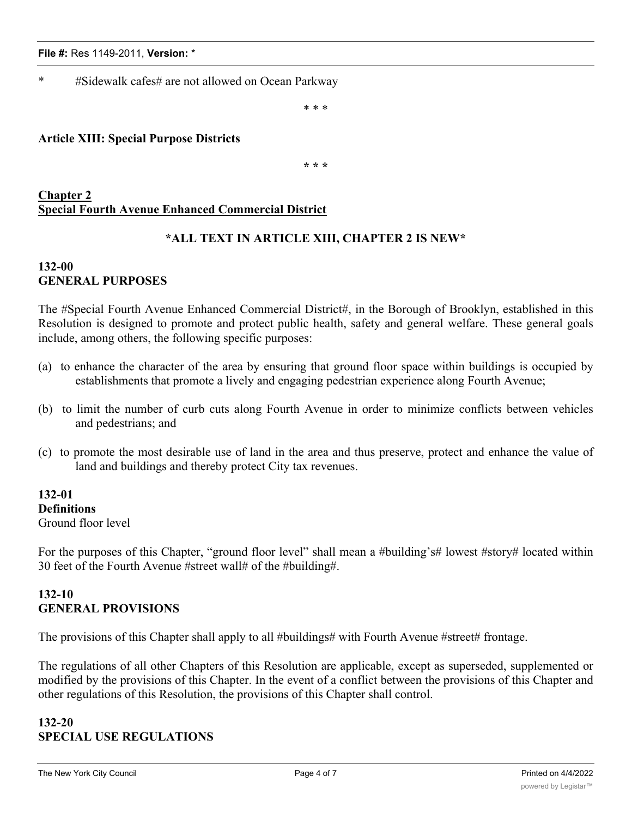\* #Sidewalk cafes# are not allowed on Ocean Parkway

\* \* \*

### **Article XIII: Special Purpose Districts**

**\* \* \***

## **Chapter 2 Special Fourth Avenue Enhanced Commercial District**

## **\*ALL TEXT IN ARTICLE XIII, CHAPTER 2 IS NEW\***

### **132-00 GENERAL PURPOSES**

The #Special Fourth Avenue Enhanced Commercial District#, in the Borough of Brooklyn, established in this Resolution is designed to promote and protect public health, safety and general welfare. These general goals include, among others, the following specific purposes:

- (a) to enhance the character of the area by ensuring that ground floor space within buildings is occupied by establishments that promote a lively and engaging pedestrian experience along Fourth Avenue;
- (b) to limit the number of curb cuts along Fourth Avenue in order to minimize conflicts between vehicles and pedestrians; and
- (c) to promote the most desirable use of land in the area and thus preserve, protect and enhance the value of land and buildings and thereby protect City tax revenues.

### **132-01 Definitions** Ground floor level

For the purposes of this Chapter, "ground floor level" shall mean a #building's# lowest #story# located within 30 feet of the Fourth Avenue #street wall# of the #building#.

### **132-10 GENERAL PROVISIONS**

The provisions of this Chapter shall apply to all #buildings# with Fourth Avenue #street# frontage.

The regulations of all other Chapters of this Resolution are applicable, except as superseded, supplemented or modified by the provisions of this Chapter. In the event of a conflict between the provisions of this Chapter and other regulations of this Resolution, the provisions of this Chapter shall control.

### **132-20 SPECIAL USE REGULATIONS**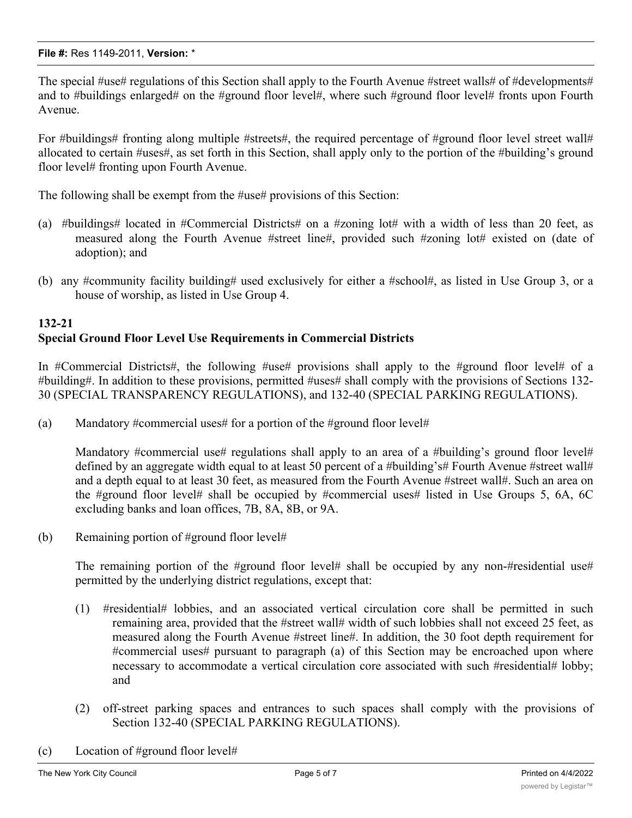The special #use# regulations of this Section shall apply to the Fourth Avenue #street walls# of #developments# and to #buildings enlarged# on the #ground floor level#, where such #ground floor level# fronts upon Fourth Avenue.

For #buildings# fronting along multiple #streets#, the required percentage of #ground floor level street wall# allocated to certain #uses#, as set forth in this Section, shall apply only to the portion of the #building's ground floor level# fronting upon Fourth Avenue.

The following shall be exempt from the #use# provisions of this Section:

- (a) #buildings# located in #Commercial Districts# on a #zoning lot# with a width of less than 20 feet, as measured along the Fourth Avenue #street line#, provided such #zoning lot# existed on (date of adoption); and
- (b) any #community facility building# used exclusively for either a #school#, as listed in Use Group 3, or a house of worship, as listed in Use Group 4.

# **132-21 Special Ground Floor Level Use Requirements in Commercial Districts**

In #Commercial Districts#, the following #use# provisions shall apply to the #ground floor level# of a #building#. In addition to these provisions, permitted #uses# shall comply with the provisions of Sections 132- 30 (SPECIAL TRANSPARENCY REGULATIONS), and 132-40 (SPECIAL PARKING REGULATIONS).

(a) Mandatory #commercial uses# for a portion of the #ground floor level#

Mandatory #commercial use# regulations shall apply to an area of a #building's ground floor level# defined by an aggregate width equal to at least 50 percent of a #building's# Fourth Avenue #street wall# and a depth equal to at least 30 feet, as measured from the Fourth Avenue #street wall#. Such an area on the #ground floor level# shall be occupied by #commercial uses# listed in Use Groups 5, 6A, 6C excluding banks and loan offices, 7B, 8A, 8B, or 9A.

(b) Remaining portion of #ground floor level#

The remaining portion of the #ground floor level# shall be occupied by any non-#residential use# permitted by the underlying district regulations, except that:

- (1) #residential# lobbies, and an associated vertical circulation core shall be permitted in such remaining area, provided that the #street wall# width of such lobbies shall not exceed 25 feet, as measured along the Fourth Avenue #street line#. In addition, the 30 foot depth requirement for #commercial uses# pursuant to paragraph (a) of this Section may be encroached upon where necessary to accommodate a vertical circulation core associated with such #residential# lobby; and
- (2) off-street parking spaces and entrances to such spaces shall comply with the provisions of Section 132-40 (SPECIAL PARKING REGULATIONS).
- (c) Location of #ground floor level#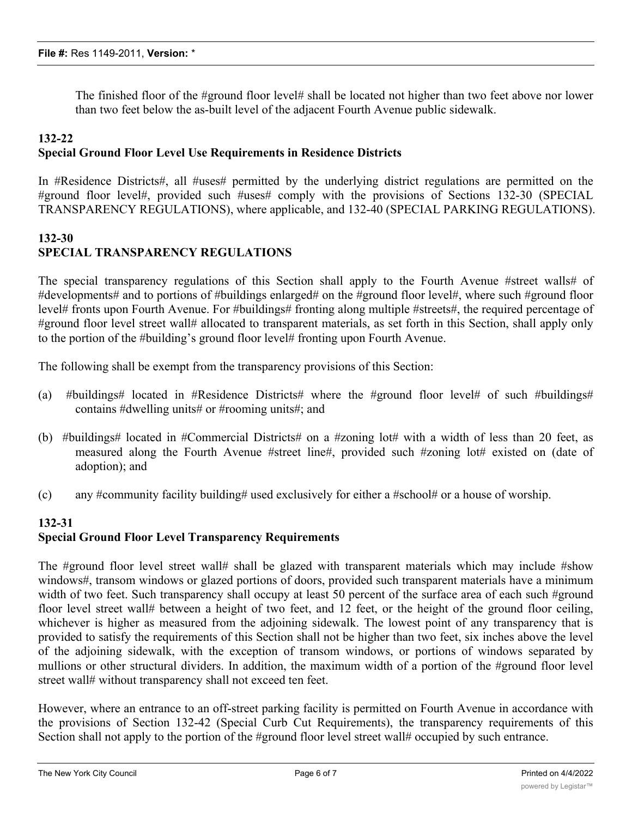The finished floor of the #ground floor level# shall be located not higher than two feet above nor lower than two feet below the as-built level of the adjacent Fourth Avenue public sidewalk.

### **132-22 Special Ground Floor Level Use Requirements in Residence Districts**

In #Residence Districts#, all #uses# permitted by the underlying district regulations are permitted on the #ground floor level#, provided such #uses# comply with the provisions of Sections 132-30 (SPECIAL TRANSPARENCY REGULATIONS), where applicable, and 132-40 (SPECIAL PARKING REGULATIONS).

## **132-30 SPECIAL TRANSPARENCY REGULATIONS**

The special transparency regulations of this Section shall apply to the Fourth Avenue #street walls# of #developments# and to portions of #buildings enlarged# on the #ground floor level#, where such #ground floor level# fronts upon Fourth Avenue. For #buildings# fronting along multiple #streets#, the required percentage of #ground floor level street wall# allocated to transparent materials, as set forth in this Section, shall apply only to the portion of the #building's ground floor level# fronting upon Fourth Avenue.

The following shall be exempt from the transparency provisions of this Section:

- (a) #buildings# located in #Residence Districts# where the #ground floor level# of such #buildings# contains #dwelling units# or #rooming units#; and
- (b) #buildings# located in #Commercial Districts# on a #zoning lot# with a width of less than 20 feet, as measured along the Fourth Avenue #street line#, provided such #zoning lot# existed on (date of adoption); and
- (c) any #community facility building# used exclusively for either a #school# or a house of worship.

# **132-31 Special Ground Floor Level Transparency Requirements**

The #ground floor level street wall# shall be glazed with transparent materials which may include #show windows#, transom windows or glazed portions of doors, provided such transparent materials have a minimum width of two feet. Such transparency shall occupy at least 50 percent of the surface area of each such #ground floor level street wall# between a height of two feet, and 12 feet, or the height of the ground floor ceiling, whichever is higher as measured from the adjoining sidewalk. The lowest point of any transparency that is provided to satisfy the requirements of this Section shall not be higher than two feet, six inches above the level of the adjoining sidewalk, with the exception of transom windows, or portions of windows separated by mullions or other structural dividers. In addition, the maximum width of a portion of the #ground floor level street wall# without transparency shall not exceed ten feet.

However, where an entrance to an off-street parking facility is permitted on Fourth Avenue in accordance with the provisions of Section 132-42 (Special Curb Cut Requirements), the transparency requirements of this Section shall not apply to the portion of the #ground floor level street wall# occupied by such entrance.